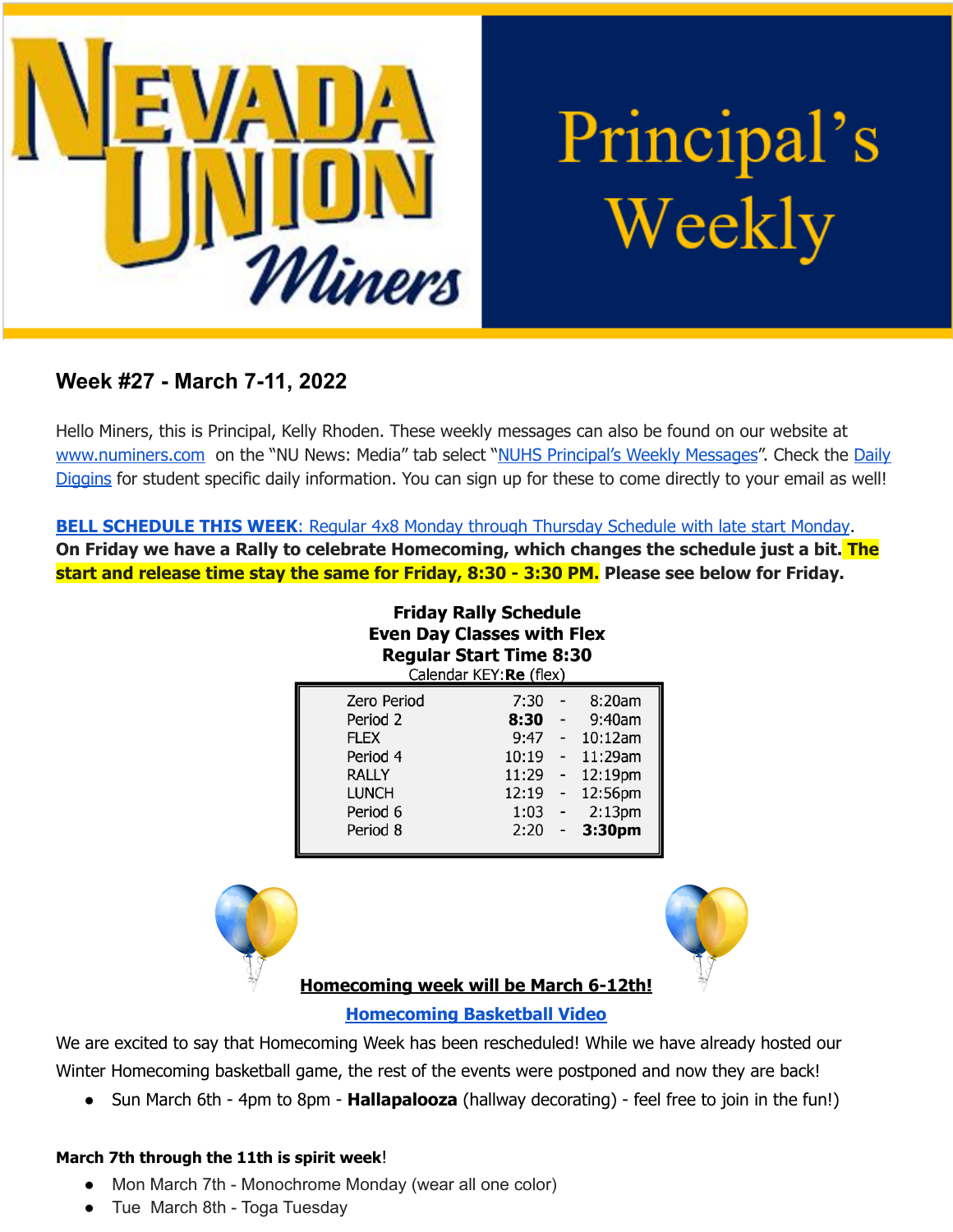

Principal's Weekly

# **Week #27 - March 7-11, 2022**

Hello Miners, this is Principal, Kelly Rhoden. These weekly messages can also be found on our website at [www.numiners.com](http://www.numiners.com) on the "NU News: Media" tab select "NUHS [Principal's](https://nevadaunion.njuhsd.com/NU-NewsMedia/NUHS-Principals-Weekly-Messages/index.html) Weekly Messages". Check the [Daily](https://nevadaunion.njuhsd.com/NU-NewsMedia/Daily-Diggins-Bulletin/index.html) [Diggins](https://nevadaunion.njuhsd.com/NU-NewsMedia/Daily-Diggins-Bulletin/index.html) for student specific daily information. You can sign up for these to come directly to your email as well!

**BELL [SCHEDULE](https://nevadaunion.njuhsd.com/documents/Bell%20Schedules/Bell-Schedule-2021-2022-NUHS-4x8.pdf) THIS WEEK**: Regular 4x8 Monday through Thursday Schedule with late start Monday.

**On Friday we have a Rally to celebrate Homecoming, which changes the schedule just a bit. The start and release time stay the same for Friday, 8:30 - 3:30 PM. Please see below for Friday.**

**Friday Rally Schedule** 

| <b>Even Day Classes with Flex</b><br><b>Regular Start Time 8:30</b><br>Calendar KEY: Re (flex) |       |                            |                    |
|------------------------------------------------------------------------------------------------|-------|----------------------------|--------------------|
| Zero Period                                                                                    | 7:30  |                            | 8:20am             |
| Period 2                                                                                       | 8:30  |                            | 9:40am             |
| <b>FLEX</b>                                                                                    | 9:47  |                            | 10:12am            |
| Period 4                                                                                       | 10:19 | $\mathbf{L}^{\mathcal{A}}$ | 11:29am            |
| <b>RALLY</b>                                                                                   | 11:29 | $\overline{\phantom{0}}$   | 12:19pm            |
| <b>LUNCH</b>                                                                                   | 12:19 | $\overline{\phantom{a}}$   | 12:56pm            |
| Period 6                                                                                       | 1:03  | $\overline{a}$             | 2:13 <sub>pm</sub> |
| Period 8                                                                                       | 2:20  | $\overline{\phantom{0}}$   | 3:30pm             |





## **Homecoming week will be March 6-12th!**

## **[Homecoming](https://youtu.be/gD1i5oLTsv0) Basketball Video**

We are excited to say that Homecoming Week has been rescheduled! While we have already hosted our Winter Homecoming basketball game, the rest of the events were postponed and now they are back!

● Sun March 6th - 4pm to 8pm - **Hallapalooza** (hallway decorating) - feel free to join in the fun!)

## **March 7th through the 11th is spirit week**!

- Mon March 7th Monochrome Monday (wear all one color)
- Tue March 8th Toga Tuesday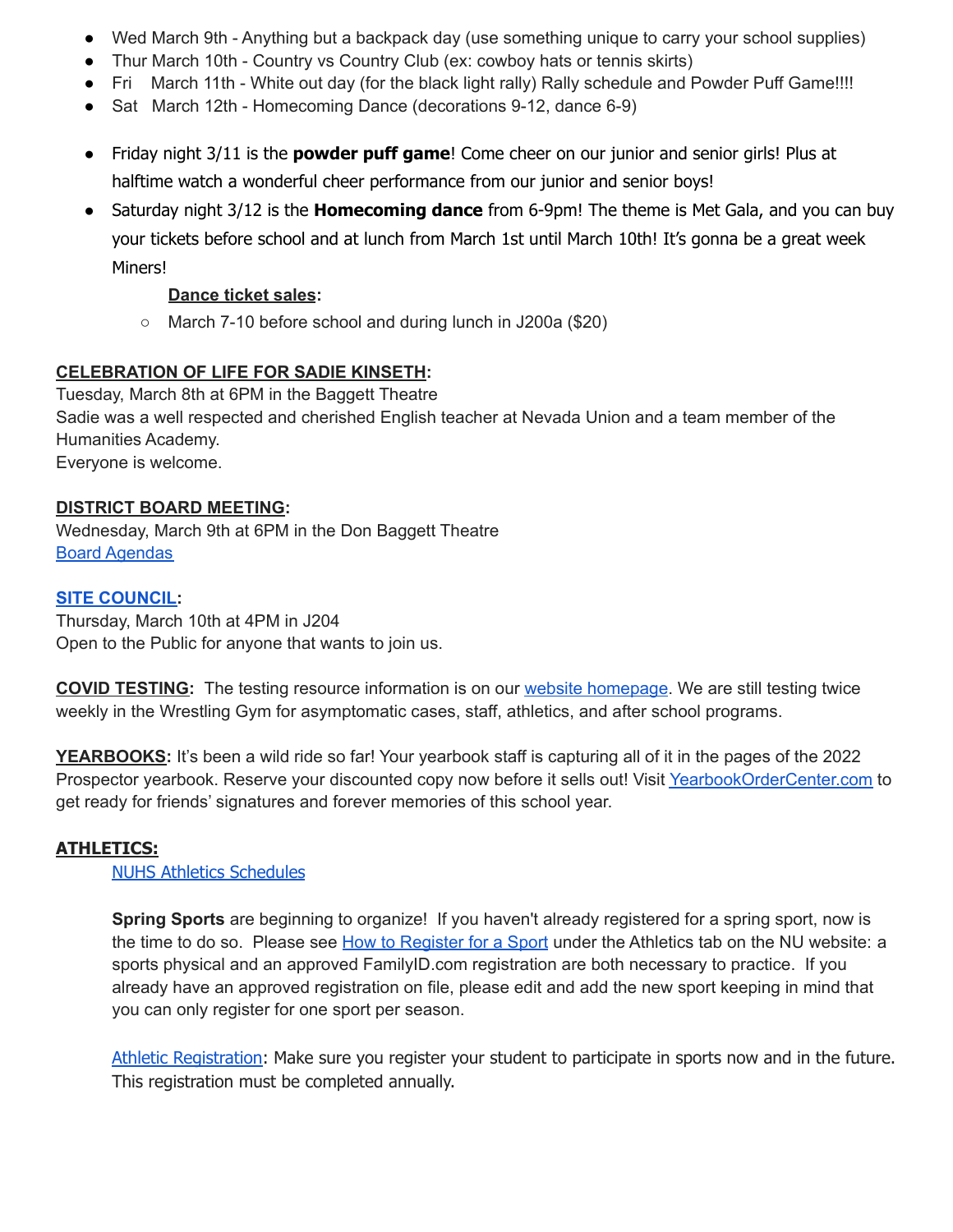- Wed March 9th Anything but a backpack day (use something unique to carry your school supplies)
- Thur March 10th Country vs Country Club (ex: cowboy hats or tennis skirts)
- Fri March 11th White out day (for the black light rally) Rally schedule and Powder Puff Game!!!!
- Sat March 12th Homecoming Dance (decorations 9-12, dance 6-9)
- Friday night 3/11 is the **powder puff game**! Come cheer on our junior and senior girls! Plus at halftime watch a wonderful cheer performance from our junior and senior boys!
- Saturday night 3/12 is the **Homecoming dance** from 6-9pm! The theme is Met Gala, and you can buy your tickets before school and at lunch from March 1st until March 10th! It's gonna be a great week Miners!

### **Dance ticket sales:**

○ March 7-10 before school and during lunch in J200a (\$20)

#### **CELEBRATION OF LIFE FOR SADIE KINSETH:**

Tuesday, March 8th at 6PM in the Baggett Theatre Sadie was a well respected and cherished English teacher at Nevada Union and a team member of the Humanities Academy. Everyone is welcome.

#### **DISTRICT BOARD MEETING:**

Wednesday, March 9th at 6PM in the Don Baggett Theatre Board [Agendas](https://simbli.eboardsolutions.com/SB_Meetings/SB_MeetingListing.aspx?S=36030345)

#### **SITE [COUNCIL:](https://nevadaunion.njuhsd.com/Information/Site-Council/index.html)**

Thursday, March 10th at 4PM in J204 Open to the Public for anyone that wants to join us.

**COVID TESTING:** The testing resource information is on our website [homepage](https://nevadaunion.njuhsd.com/index.html). We are still testing twice weekly in the Wrestling Gym for asymptomatic cases, staff, athletics, and after school programs.

**YEARBOOKS:** It's been a wild ride so far! Your yearbook staff is capturing all of it in the pages of the 2022 Prospector yearbook. Reserve your discounted copy now before it sells out! Visit [YearbookOrderCenter.com](https://www.yearbookordercenter.com/jobSearch/displayHome) to get ready for friends' signatures and forever memories of this school year.

#### **ATHLETICS:**

#### NUHS Athletics [Schedules](https://nevadaunion.njuhsd.com/Athletics/Sports-Calendar--Schedules/index.html)

**Spring Sports** are beginning to organize! If you haven't already registered for a spring sport, now is the time to do so. Please see How to [Register](https://nevadaunion.njuhsd.com/Athletics/How-to-Register-For-a-Sport/index.html) for a Sport under the Athletics tab on the NU website: a sports physical and an approved FamilyID.com registration are both necessary to practice. If you already have an approved registration on file, please edit and add the new sport keeping in mind that you can only register for one sport per season.

Athletic [Registration:](https://nevadaunion.njuhsd.com/Athletics/How-to-Register-For-a-Sport/index.html) Make sure you register your student to participate in sports now and in the future. This registration must be completed annually.